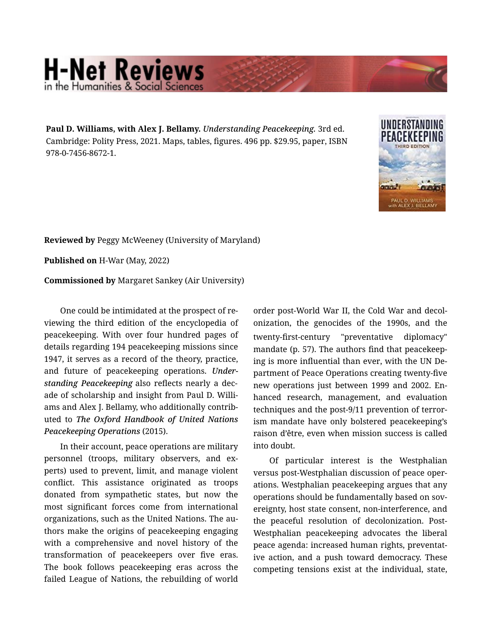## **H-Net Reviews** in the Humanities & Social Scie

**Paul D. Williams, with Alex J. Bellamy.** *Understanding Peacekeeping.* 3rd ed. Cambridge: Polity Press, 2021. Maps, tables, figures. 496 pp. \$29.95, paper, ISBN 978-0-7456-8672-1.



**Reviewed by** Peggy McWeeney (University of Maryland)

**Published on** H-War (May, 2022)

**Commissioned by** Margaret Sankey (Air University)

One could be intimidated at the prospect of re‐ viewing the third edition of the encyclopedia of peacekeeping. With over four hundred pages of details regarding 194 peacekeeping missions since 1947, it serves as a record of the theory, practice, and future of peacekeeping operations. *Under‐ standing Peacekeeping* also reflects nearly a dec‐ ade of scholarship and insight from Paul D. Willi‐ ams and Alex J. Bellamy, who additionally contrib‐ uted to *The Oxford Handbook of United Nations Peacekeeping Operations* (2015).

In their account, peace operations are military personnel (troops, military observers, and ex‐ perts) used to prevent, limit, and manage violent conflict. This assistance originated as troops donated from sympathetic states, but now the most significant forces come from international organizations, such as the United Nations. The au‐ thors make the origins of peacekeeping engaging with a comprehensive and novel history of the transformation of peacekeepers over five eras. The book follows peacekeeping eras across the failed League of Nations, the rebuilding of world

order post-World War II, the Cold War and decol‐ onization, the genocides of the 1990s, and the twenty-first-century "preventative diplomacy" mandate (p. 57). The authors find that peacekeep‐ ing is more influential than ever, with the UN De‐ partment of Peace Operations creating twenty-five new operations just between 1999 and 2002. En‐ hanced research, management, and evaluation techniques and the post-9/11 prevention of terror‐ ism mandate have only bolstered peacekeeping's raison d'être, even when mission success is called into doubt.

Of particular interest is the Westphalian versus post-Westphalian discussion of peace oper‐ ations. Westphalian peacekeeping argues that any operations should be fundamentally based on sov‐ ereignty, host state consent, non-interference, and the peaceful resolution of decolonization. Post-Westphalian peacekeeping advocates the liberal peace agenda: increased human rights, preventat‐ ive action, and a push toward democracy. These competing tensions exist at the individual, state,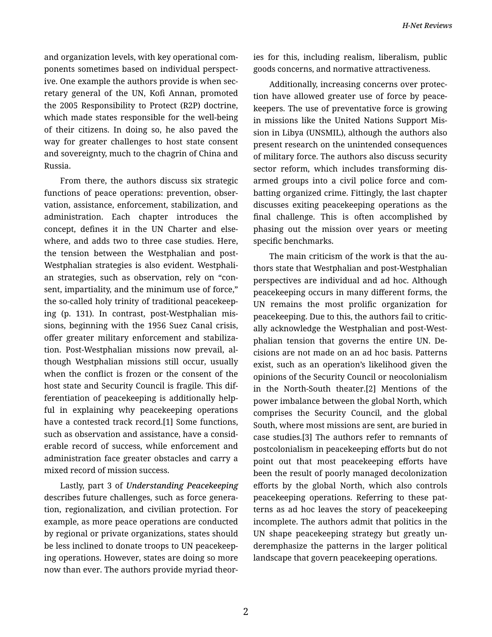and organization levels, with key operational com‐ ponents sometimes based on individual perspect‐ ive. One example the authors provide is when sec‐ retary general of the UN, Kofi Annan, promoted the 2005 Responsibility to Protect (R2P) doctrine, which made states responsible for the well-being of their citizens. In doing so, he also paved the way for greater challenges to host state consent and sovereignty, much to the chagrin of China and Russia.

From there, the authors discuss six strategic functions of peace operations: prevention, obser‐ vation, assistance, enforcement, stabilization, and administration. Each chapter introduces the concept, defines it in the UN Charter and else‐ where, and adds two to three case studies. Here, the tension between the Westphalian and post-Westphalian strategies is also evident. Westphali‐ an strategies, such as observation, rely on "con‐ sent, impartiality, and the minimum use of force," the so-called holy trinity of traditional peacekeep‐ ing (p. 131). In contrast, post-Westphalian mis‐ sions, beginning with the 1956 Suez Canal crisis, offer greater military enforcement and stabiliza‐ tion. Post-Westphalian missions now prevail, al‐ though Westphalian missions still occur, usually when the conflict is frozen or the consent of the host state and Security Council is fragile. This dif‐ ferentiation of peacekeeping is additionally help‐ ful in explaining why peacekeeping operations have a contested track record.[1] Some functions, such as observation and assistance, have a consid‐ erable record of success, while enforcement and administration face greater obstacles and carry a mixed record of mission success.

Lastly, part 3 of *Understanding Peacekeeping* describes future challenges, such as force genera‐ tion, regionalization, and civilian protection. For example, as more peace operations are conducted by regional or private organizations, states should be less inclined to donate troops to UN peacekeep‐ ing operations. However, states are doing so more now than ever. The authors provide myriad theor‐ ies for this, including realism, liberalism, public goods concerns, and normative attractiveness.

Additionally, increasing concerns over protec‐ tion have allowed greater use of force by peace‐ keepers. The use of preventative force is growing in missions like the United Nations Support Mis‐ sion in Libya (UNSMIL), although the authors also present research on the unintended consequences of military force. The authors also discuss security sector reform, which includes transforming dis‐ armed groups into a civil police force and com‐ batting organized crime. Fittingly, the last chapter discusses exiting peacekeeping operations as the final challenge. This is often accomplished by phasing out the mission over years or meeting specific benchmarks.

The main criticism of the work is that the au‐ thors state that Westphalian and post-Westphalian perspectives are individual and ad hoc. Although peacekeeping occurs in many different forms, the UN remains the most prolific organization for peacekeeping. Due to this, the authors fail to critic‐ ally acknowledge the Westphalian and post-West‐ phalian tension that governs the entire UN. De‐ cisions are not made on an ad hoc basis. Patterns exist, such as an operation's likelihood given the opinions of the Security Council or neocolonialism in the North-South theater.[2] Mentions of the power imbalance between the global North, which comprises the Security Council, and the global South, where most missions are sent, are buried in case studies.[3] The authors refer to remnants of postcolonialism in peacekeeping efforts but do not point out that most peacekeeping efforts have been the result of poorly managed decolonization efforts by the global North, which also controls peacekeeping operations. Referring to these pat‐ terns as ad hoc leaves the story of peacekeeping incomplete. The authors admit that politics in the UN shape peacekeeping strategy but greatly un‐ deremphasize the patterns in the larger political landscape that govern peacekeeping operations.